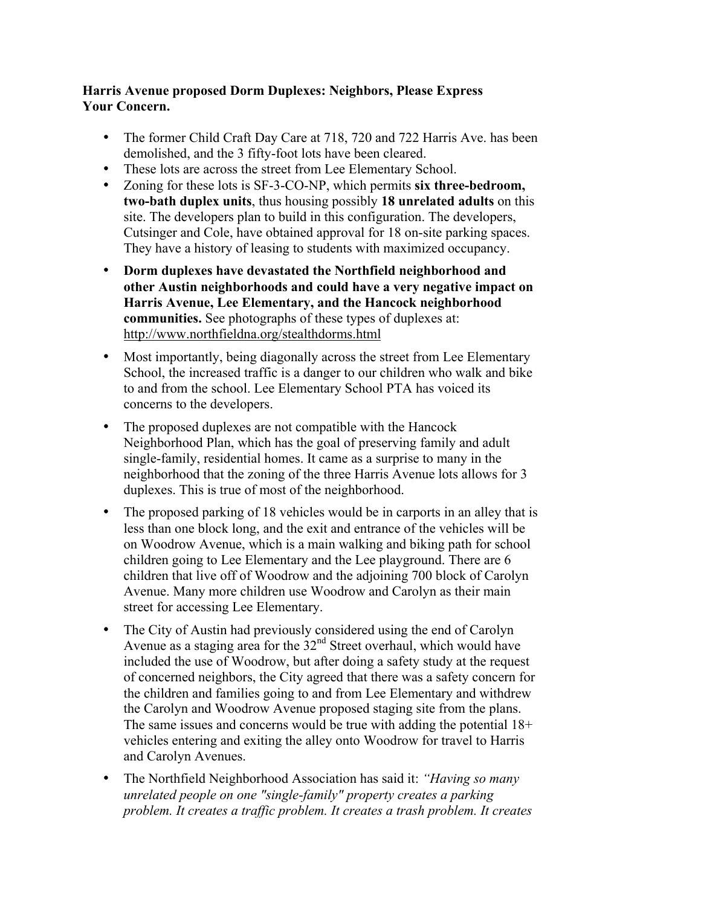## **Harris Avenue proposed Dorm Duplexes: Neighbors, Please Express Your Concern.**

- The former Child Craft Day Care at 718, 720 and 722 Harris Ave. has been demolished, and the 3 fifty-foot lots have been cleared.
- These lots are across the street from Lee Elementary School.
- Zoning for these lots is SF-3-CO-NP, which permits **six three-bedroom, two-bath duplex units**, thus housing possibly **18 unrelated adults** on this site. The developers plan to build in this configuration. The developers, Cutsinger and Cole, have obtained approval for 18 on-site parking spaces. They have a history of leasing to students with maximized occupancy.
- **Dorm duplexes have devastated the Northfield neighborhood and other Austin neighborhoods and could have a very negative impact on Harris Avenue, Lee Elementary, and the Hancock neighborhood communities.** See photographs of these types of duplexes at: http://www.northfieldna.org/stealthdorms.html
- Most importantly, being diagonally across the street from Lee Elementary School, the increased traffic is a danger to our children who walk and bike to and from the school. Lee Elementary School PTA has voiced its concerns to the developers.
- The proposed duplexes are not compatible with the Hancock Neighborhood Plan, which has the goal of preserving family and adult single-family, residential homes. It came as a surprise to many in the neighborhood that the zoning of the three Harris Avenue lots allows for 3 duplexes. This is true of most of the neighborhood.
- The proposed parking of 18 vehicles would be in carports in an alley that is less than one block long, and the exit and entrance of the vehicles will be on Woodrow Avenue, which is a main walking and biking path for school children going to Lee Elementary and the Lee playground. There are 6 children that live off of Woodrow and the adjoining 700 block of Carolyn Avenue. Many more children use Woodrow and Carolyn as their main street for accessing Lee Elementary.
- The City of Austin had previously considered using the end of Carolyn Avenue as a staging area for the  $32<sup>nd</sup>$  Street overhaul, which would have included the use of Woodrow, but after doing a safety study at the request of concerned neighbors, the City agreed that there was a safety concern for the children and families going to and from Lee Elementary and withdrew the Carolyn and Woodrow Avenue proposed staging site from the plans. The same issues and concerns would be true with adding the potential 18+ vehicles entering and exiting the alley onto Woodrow for travel to Harris and Carolyn Avenues.
- The Northfield Neighborhood Association has said it: *"Having so many unrelated people on one "single-family" property creates a parking problem. It creates a traffic problem. It creates a trash problem. It creates*